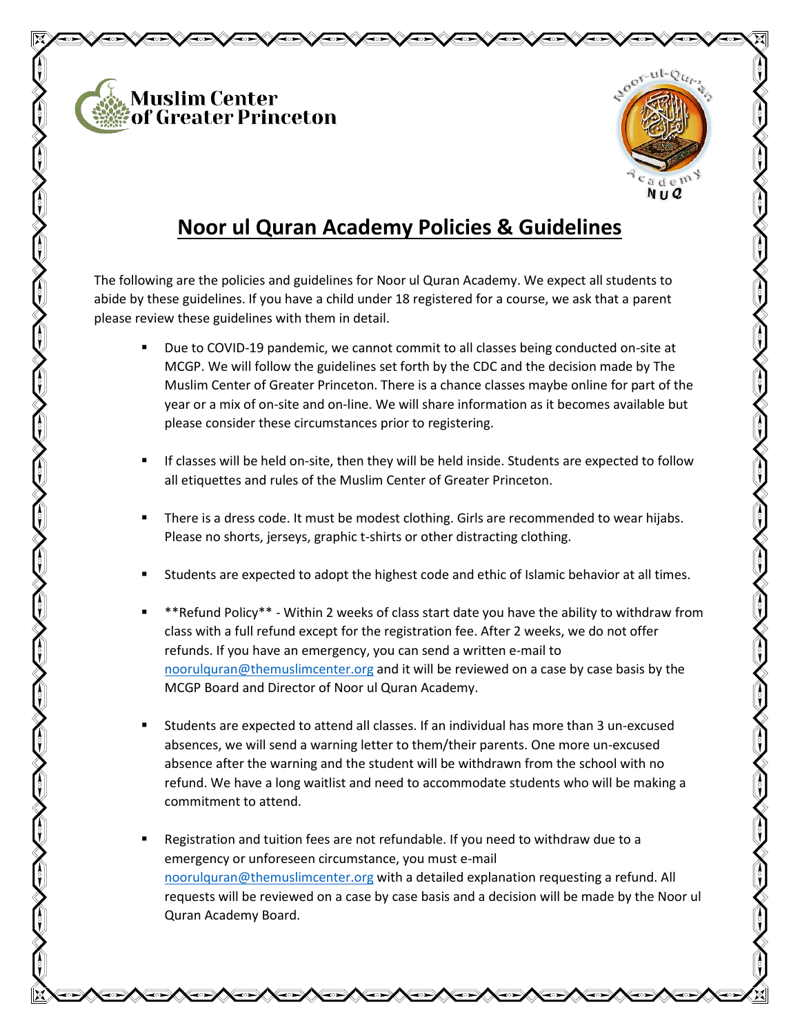



## **Noor ul Quran Academy Policies & Guidelines**

The following are the policies and guidelines for Noor ul Quran Academy. We expect all students to abide by these guidelines. If you have a child under 18 registered for a course, we ask that a parent please review these guidelines with them in detail.

- Due to COVID-19 pandemic, we cannot commit to all classes being conducted on-site at MCGP. We will follow the guidelines set forth by the CDC and the decision made by The Muslim Center of Greater Princeton. There is a chance classes maybe online for part of the year or a mix of on-site and on-line. We will share information as it becomes available but please consider these circumstances prior to registering.
- If classes will be held on-site, then they will be held inside. Students are expected to follow all etiquettes and rules of the Muslim Center of Greater Princeton.
- There is a dress code. It must be modest clothing. Girls are recommended to wear hijabs. Please no shorts, jerseys, graphic t-shirts or other distracting clothing.
- Students are expected to adopt the highest code and ethic of Islamic behavior at all times.
- \*\*Refund Policy\*\* Within 2 weeks of class start date you have the ability to withdraw from class with a full refund except for the registration fee. After 2 weeks, we do not offer refunds. If you have an emergency, you can send a written e-mail to [noorulquran@themuslimcenter.org](mailto:noorulquran@themuslimcenter.org) and it will be reviewed on a case by case basis by the MCGP Board and Director of Noor ul Quran Academy.
- Students are expected to attend all classes. If an individual has more than 3 un-excused absences, we will send a warning letter to them/their parents. One more un-excused absence after the warning and the student will be withdrawn from the school with no refund. We have a long waitlist and need to accommodate students who will be making a commitment to attend.
- Registration and tuition fees are not refundable. If you need to withdraw due to a emergency or unforeseen circumstance, you must e-mail [noorulquran@themuslimcenter.org](mailto:noorulquran@themuslimcenter.org) with a detailed explanation requesting a refund. All requests will be reviewed on a case by case basis and a decision will be made by the Noor ul Quran Academy Board.